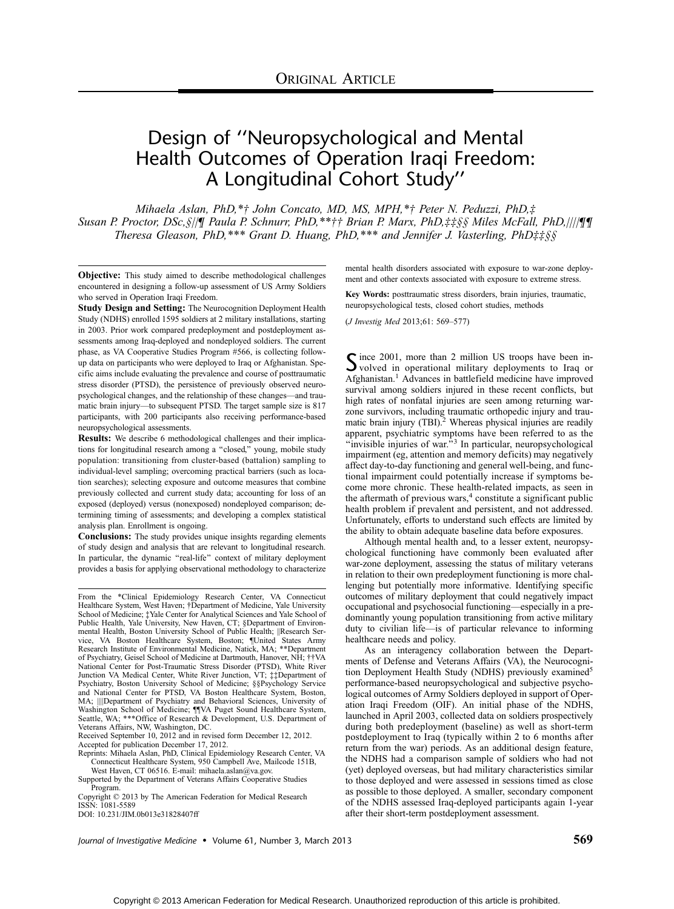# Design of ''Neuropsychological and Mental Health Outcomes of Operation Iraqi Freedom: A Longitudinal Cohort Study''

Mihaela Aslan, PhD,\*† John Concato, MD, MS, MPH,\*† Peter N. Peduzzi, PhD, $\ddot{x}$ Susan P. Proctor, DSc, §//¶ Paula P. Schnurr, PhD,\*\*†† Brian P. Marx, PhD,##§§ Miles McFall, PhD,////¶¶ Theresa Gleason, PhD,\*\*\* Grant D. Huang, PhD,\*\*\* and Jennifer J. Vasterling, PhD‡ $\sharp$ §§

Objective: This study aimed to describe methodological challenges encountered in designing a follow-up assessment of US Army Soldiers who served in Operation Iraqi Freedom.

Study Design and Setting: The Neurocognition Deployment Health Study (NDHS) enrolled 1595 soldiers at 2 military installations, starting in 2003. Prior work compared predeployment and postdeployment assessments among Iraq-deployed and nondeployed soldiers. The current phase, as VA Cooperative Studies Program #566, is collecting followup data on participants who were deployed to Iraq or Afghanistan. Specific aims include evaluating the prevalence and course of posttraumatic stress disorder (PTSD), the persistence of previously observed neuropsychological changes, and the relationship of these changes—and traumatic brain injury-to subsequent PTSD. The target sample size is 817 participants, with 200 participants also receiving performance-based neuropsychological assessments.

Results: We describe 6 methodological challenges and their implications for longitudinal research among a "closed," young, mobile study population: transitioning from cluster-based (battalion) sampling to individual-level sampling; overcoming practical barriers (such as location searches); selecting exposure and outcome measures that combine previously collected and current study data; accounting for loss of an exposed (deployed) versus (nonexposed) nondeployed comparison; determining timing of assessments; and developing a complex statistical analysis plan. Enrollment is ongoing.

Conclusions: The study provides unique insights regarding elements of study design and analysis that are relevant to longitudinal research. In particular, the dynamic "real-life" context of military deployment provides a basis for applying observational methodology to characterize

From the \*Clinical Epidemiology Research Center, VA Connecticut Healthcare System, West Haven; †Department of Medicine, Yale University School of Medicine; ‡Yale Center for Analytical Sciences and Yale School of Public Health, Yale University, New Haven, CT; §Department of Environmental Health, Boston University School of Public Health; ||Research Service, VA Boston Healthcare System, Boston; ¶United States Army Research Institute of Environmental Medicine, Natick, MA; \*\*Department of Psychiatry, Geisel School of Medicine at Dartmouth, Hanover, NH; ††VA National Center for Post-Traumatic Stress Disorder (PTSD), White River Junction VA Medical Center, White River Junction, VT; ‡‡Department of Psychiatry, Boston University School of Medicine; §§Psychology Service and National Center for PTSD, VA Boston Healthcare System, Boston, MA; ||||Department of Psychiatry and Behavioral Sciences, University of<br>Washington School of Medicine; ¶||VA Puget Sound Healthcare System,<br>Seattle, WA; \*\*\*Office of Research & Development, U.S. Department of Veterans Affairs, NW, Washington, DC.

Received September 10, 2012 and in revised form December 12, 2012. Accepted for publication December 17, 2012.

Reprints: Mihaela Aslan, PhD, Clinical Epidemiology Research Center, VA Connecticut Healthcare System, 950 Campbell Ave, Mailcode 151B,

West Haven, CT 06516. E-mail: mihaela.aslan@va.gov. Supported by the Department of Veterans Affairs Cooperative Studies Program.

Copyright © 2013 by The American Federation for Medical Research ISSN: 1081-5589

DOI: 10.231/JIM.0b013e31828407ff

mental health disorders associated with exposure to war-zone deployment and other contexts associated with exposure to extreme stress.

Key Words: posttraumatic stress disorders, brain injuries, traumatic, neuropsychological tests, closed cohort studies, methods

(*J Investig Med* 2013;61: 569-577)

Since 2001, more than 2 million US troops have been in-<br>volved in operational military deployments to Iraq or Afghanistan.<sup>1</sup> Advances in battlefield medicine have improved survival among soldiers injured in these recent conflicts, but high rates of nonfatal injuries are seen among returning warzone survivors, including traumatic orthopedic injury and traumatic brain injury (TBI).<sup>2</sup> Whereas physical injuries are readily apparent, psychiatric symptoms have been referred to as the "invisible injuries of war."<sup>3</sup> In particular, neuropsychological impairment (eg, attention and memory deficits) may negatively affect day-to-day functioning and general well-being, and functional impairment could potentially increase if symptoms become more chronic. These health-related impacts, as seen in the aftermath of previous wars, $4$  constitute a significant public health problem if prevalent and persistent, and not addressed. Unfortunately, efforts to understand such effects are limited by the ability to obtain adequate baseline data before exposures.

Although mental health and, to a lesser extent, neuropsychological functioning have commonly been evaluated after war-zone deployment, assessing the status of military veterans in relation to their own predeployment functioning is more challenging but potentially more informative. Identifying specific outcomes of military deployment that could negatively impact occupational and psychosocial functioning—especially in a predominantly young population transitioning from active military duty to civilian life—is of particular relevance to informing healthcare needs and policy.

As an interagency collaboration between the Departments of Defense and Veterans Affairs (VA), the Neurocognition Deployment Health Study (NDHS) previously examined<sup>5</sup> performance-based neuropsychological and subjective psychological outcomes of Army Soldiers deployed in support of Operation Iraqi Freedom (OIF). An initial phase of the NDHS, launched in April 2003, collected data on soldiers prospectively during both predeployment (baseline) as well as short-term postdeployment to Iraq (typically within 2 to 6 months after return from the war) periods. As an additional design feature, the NDHS had a comparison sample of soldiers who had not (yet) deployed overseas, but had military characteristics similar to those deployed and were assessed in sessions timed as close as possible to those deployed. A smaller, secondary component of the NDHS assessed Iraq-deployed participants again 1-year after their short-term postdeployment assessment.

Journal of Investigative Medicine • Volume 61, Number 3, March 2013 569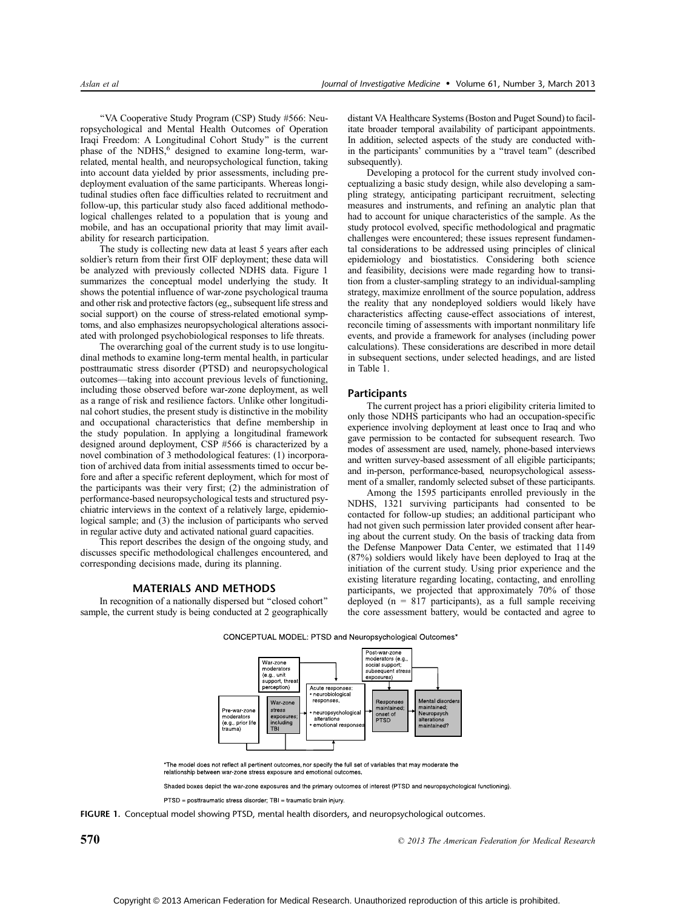''VA Cooperative Study Program (CSP) Study #566: Neuropsychological and Mental Health Outcomes of Operation Iraqi Freedom: A Longitudinal Cohort Study'' is the current phase of the NDHS,<sup>6</sup> designed to examine long-term, warrelated, mental health, and neuropsychological function, taking into account data yielded by prior assessments, including predeployment evaluation of the same participants. Whereas longitudinal studies often face difficulties related to recruitment and follow-up, this particular study also faced additional methodological challenges related to a population that is young and mobile, and has an occupational priority that may limit availability for research participation.

The study is collecting new data at least 5 years after each soldier's return from their first OIF deployment; these data will be analyzed with previously collected NDHS data. Figure 1 summarizes the conceptual model underlying the study. It shows the potential influence of war-zone psychological trauma and other risk and protective factors (eg,, subsequent life stress and social support) on the course of stress-related emotional symptoms, and also emphasizes neuropsychological alterations associated with prolonged psychobiological responses to life threats.

The overarching goal of the current study is to use longitudinal methods to examine long-term mental health, in particular posttraumatic stress disorder (PTSD) and neuropsychological outcomes—taking into account previous levels of functioning, including those observed before war-zone deployment, as well as a range of risk and resilience factors. Unlike other longitudinal cohort studies, the present study is distinctive in the mobility and occupational characteristics that define membership in the study population. In applying a longitudinal framework designed around deployment, CSP #566 is characterized by a novel combination of 3 methodological features: (1) incorporation of archived data from initial assessments timed to occur before and after a specific referent deployment, which for most of the participants was their very first; (2) the administration of performance-based neuropsychological tests and structured psychiatric interviews in the context of a relatively large, epidemiological sample; and (3) the inclusion of participants who served in regular active duty and activated national guard capacities.

This report describes the design of the ongoing study, and discusses specific methodological challenges encountered, and corresponding decisions made, during its planning.

# MATERIALS AND METHODS

In recognition of a nationally dispersed but ''closed cohort'' sample, the current study is being conducted at 2 geographically distant VA Healthcare Systems (Boston and Puget Sound) to facilitate broader temporal availability of participant appointments. In addition, selected aspects of the study are conducted within the participants' communities by a ''travel team'' (described subsequently).

Developing a protocol for the current study involved conceptualizing a basic study design, while also developing a sampling strategy, anticipating participant recruitment, selecting measures and instruments, and refining an analytic plan that had to account for unique characteristics of the sample. As the study protocol evolved, specific methodological and pragmatic challenges were encountered; these issues represent fundamental considerations to be addressed using principles of clinical epidemiology and biostatistics. Considering both science and feasibility, decisions were made regarding how to transition from a cluster-sampling strategy to an individual-sampling strategy, maximize enrollment of the source population, address the reality that any nondeployed soldiers would likely have characteristics affecting cause-effect associations of interest, reconcile timing of assessments with important nonmilitary life events, and provide a framework for analyses (including power calculations). These considerations are described in more detail in subsequent sections, under selected headings, and are listed in Table 1.

## **Participants**

The current project has a priori eligibility criteria limited to only those NDHS participants who had an occupation-specific experience involving deployment at least once to Iraq and who gave permission to be contacted for subsequent research. Two modes of assessment are used, namely, phone-based interviews and written survey-based assessment of all eligible participants; and in-person, performance-based, neuropsychological assessment of a smaller, randomly selected subset of these participants.

Among the 1595 participants enrolled previously in the NDHS, 1321 surviving participants had consented to be contacted for follow-up studies; an additional participant who had not given such permission later provided consent after hearing about the current study. On the basis of tracking data from the Defense Manpower Data Center, we estimated that 1149 (87%) soldiers would likely have been deployed to Iraq at the initiation of the current study. Using prior experience and the existing literature regarding locating, contacting, and enrolling participants, we projected that approximately 70% of those deployed ( $n = 817$  participants), as a full sample receiving the core assessment battery, would be contacted and agree to



CONCEPTUAL MODEL: PTSD and Neuropsychological Outcomes\*

\*The model does not reflect all pertinent outcomes, nor specify the full set of variables that may moderate the relationship between war-zone stress exposure and emotional outcomes

Shaded boxes depict the war-zone exposures and the primary outcomes of interest (PTSD and neuropsychological functioning).

PTSD = posttraumatic stress disorder; TBI = traumatic brain injury.

FIGURE 1. Conceptual model showing PTSD, mental health disorders, and neuropsychological outcomes.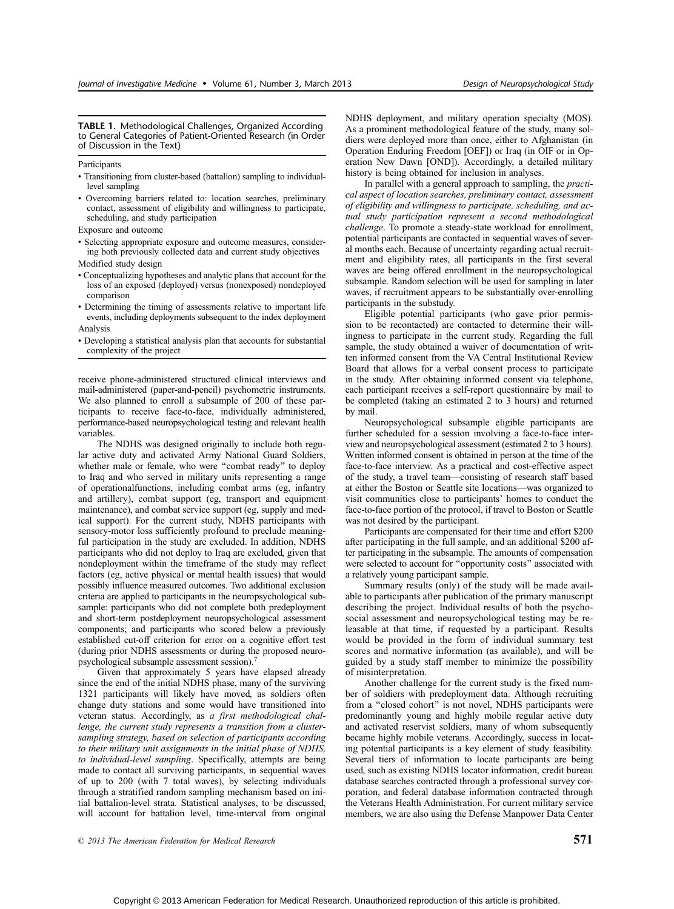TABLE 1. Methodological Challenges, Organized According to General Categories of Patient-Oriented Research (in Order of Discussion in the Text)

**Participants** 

- & Transitioning from cluster-based (battalion) sampling to individuallevel sampling
- & Overcoming barriers related to: location searches, preliminary contact, assessment of eligibility and willingness to participate, scheduling, and study participation
- Exposure and outcome
- & Selecting appropriate exposure and outcome measures, considering both previously collected data and current study objectives Modified study design
- 
- & Conceptualizing hypotheses and analytic plans that account for the loss of an exposed (deployed) versus (nonexposed) nondeployed comparison
- & Determining the timing of assessments relative to important life events, including deployments subsequent to the index deployment Analysis
- & Developing a statistical analysis plan that accounts for substantial complexity of the project

receive phone-administered structured clinical interviews and mail-administered (paper-and-pencil) psychometric instruments. We also planned to enroll a subsample of 200 of these participants to receive face-to-face, individually administered, performance-based neuropsychological testing and relevant health variables.

The NDHS was designed originally to include both regular active duty and activated Army National Guard Soldiers, whether male or female, who were ''combat ready'' to deploy to Iraq and who served in military units representing a range of operationalfunctions, including combat arms (eg, infantry and artillery), combat support (eg, transport and equipment maintenance), and combat service support (eg, supply and medical support). For the current study, NDHS participants with sensory-motor loss sufficiently profound to preclude meaningful participation in the study are excluded. In addition, NDHS participants who did not deploy to Iraq are excluded, given that nondeployment within the timeframe of the study may reflect factors (eg, active physical or mental health issues) that would possibly influence measured outcomes. Two additional exclusion criteria are applied to participants in the neuropsychological subsample: participants who did not complete both predeployment and short-term postdeployment neuropsychological assessment components; and participants who scored below a previously established cut-off criterion for error on a cognitive effort test (during prior NDHS assessments or during the proposed neuropsychological subsample assessment session).<sup>7</sup>

Given that approximately 5 years have elapsed already since the end of the initial NDHS phase, many of the surviving 1321 participants will likely have moved, as soldiers often change duty stations and some would have transitioned into veteran status. Accordingly, as a first methodological challenge, the current study represents a transition from a clustersampling strategy, based on selection of participants according to their military unit assignments in the initial phase of NDHS, to individual-level sampling. Specifically, attempts are being made to contact all surviving participants, in sequential waves of up to 200 (with 7 total waves), by selecting individuals through a stratified random sampling mechanism based on initial battalion-level strata. Statistical analyses, to be discussed, will account for battalion level, time-interval from original NDHS deployment, and military operation specialty (MOS). As a prominent methodological feature of the study, many soldiers were deployed more than once, either to Afghanistan (in Operation Enduring Freedom [OEF]) or Iraq (in OIF or in Operation New Dawn [OND]). Accordingly, a detailed military history is being obtained for inclusion in analyses.

In parallel with a general approach to sampling, the practical aspect of location searches, preliminary contact, assessment of eligibility and willingness to participate, scheduling, and actual study participation represent a second methodological challenge. To promote a steady-state workload for enrollment, potential participants are contacted in sequential waves of several months each. Because of uncertainty regarding actual recruitment and eligibility rates, all participants in the first several waves are being offered enrollment in the neuropsychological subsample. Random selection will be used for sampling in later waves, if recruitment appears to be substantially over-enrolling participants in the substudy.

Eligible potential participants (who gave prior permission to be recontacted) are contacted to determine their willingness to participate in the current study. Regarding the full sample, the study obtained a waiver of documentation of written informed consent from the VA Central Institutional Review Board that allows for a verbal consent process to participate in the study. After obtaining informed consent via telephone, each participant receives a self-report questionnaire by mail to be completed (taking an estimated 2 to 3 hours) and returned by mail.

Neuropsychological subsample eligible participants are further scheduled for a session involving a face-to-face interview and neuropsychological assessment (estimated 2 to 3 hours). Written informed consent is obtained in person at the time of the face-to-face interview. As a practical and cost-effective aspect of the study, a travel team—consisting of research staff based at either the Boston or Seattle site locations—was organized to visit communities close to participants' homes to conduct the face-to-face portion of the protocol, if travel to Boston or Seattle was not desired by the participant.

Participants are compensated for their time and effort \$200 after participating in the full sample, and an additional \$200 after participating in the subsample. The amounts of compensation were selected to account for ''opportunity costs'' associated with a relatively young participant sample.

Summary results (only) of the study will be made available to participants after publication of the primary manuscript describing the project. Individual results of both the psychosocial assessment and neuropsychological testing may be releasable at that time, if requested by a participant. Results would be provided in the form of individual summary test scores and normative information (as available), and will be guided by a study staff member to minimize the possibility of misinterpretation.

Another challenge for the current study is the fixed number of soldiers with predeployment data. Although recruiting from a ''closed cohort'' is not novel, NDHS participants were predominantly young and highly mobile regular active duty and activated reservist soldiers, many of whom subsequently became highly mobile veterans. Accordingly, success in locating potential participants is a key element of study feasibility. Several tiers of information to locate participants are being used, such as existing NDHS locator information, credit bureau database searches contracted through a professional survey corporation, and federal database information contracted through the Veterans Health Administration. For current military service members, we are also using the Defense Manpower Data Center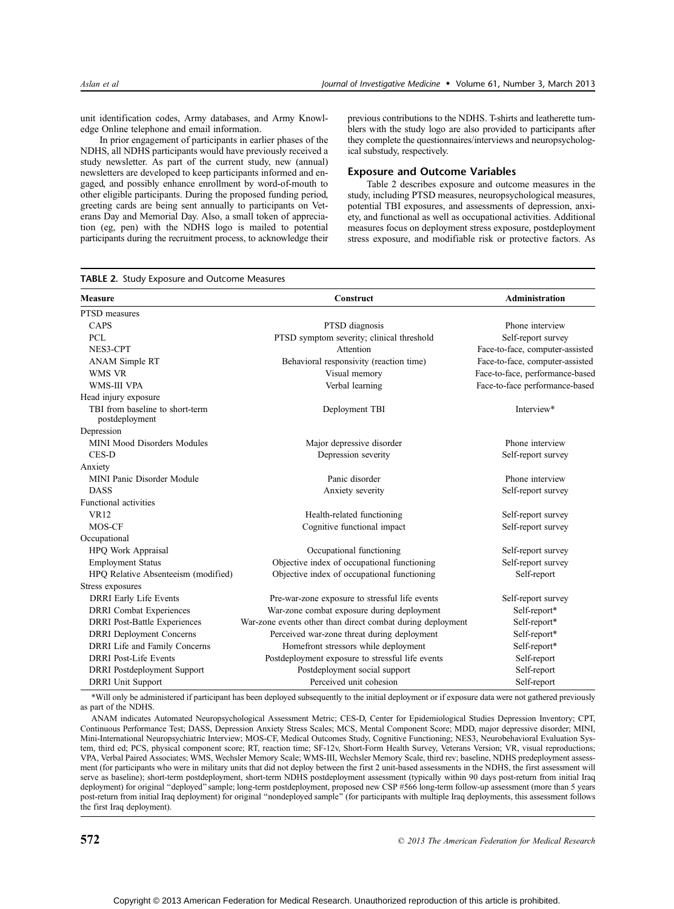unit identification codes, Army databases, and Army Knowledge Online telephone and email information.

In prior engagement of participants in earlier phases of the NDHS, all NDHS participants would have previously received a study newsletter. As part of the current study, new (annual) newsletters are developed to keep participants informed and engaged, and possibly enhance enrollment by word-of-mouth to other eligible participants. During the proposed funding period, greeting cards are being sent annually to participants on Veterans Day and Memorial Day. Also, a small token of appreciation (eg, pen) with the NDHS logo is mailed to potential participants during the recruitment process, to acknowledge their previous contributions to the NDHS. T-shirts and leatherette tumblers with the study logo are also provided to participants after they complete the questionnaires/interviews and neuropsychological substudy, respectively.

## Exposure and Outcome Variables

Table 2 describes exposure and outcome measures in the study, including PTSD measures, neuropsychological measures, potential TBI exposures, and assessments of depression, anxiety, and functional as well as occupational activities. Additional measures focus on deployment stress exposure, postdeployment stress exposure, and modifiable risk or protective factors. As

| TABLE 2. Study Exposure and Outcome Measures      |                                                            |                                 |  |
|---------------------------------------------------|------------------------------------------------------------|---------------------------------|--|
| <b>Measure</b>                                    | Construct                                                  | <b>Administration</b>           |  |
| PTSD measures                                     |                                                            |                                 |  |
| CAPS                                              | PTSD diagnosis                                             | Phone interview                 |  |
| <b>PCL</b>                                        | PTSD symptom severity; clinical threshold                  | Self-report survey              |  |
| NES3-CPT                                          | Attention                                                  | Face-to-face, computer-assisted |  |
| ANAM Simple RT                                    | Behavioral responsivity (reaction time)                    | Face-to-face, computer-assisted |  |
| WMS VR                                            | Visual memory                                              | Face-to-face, performance-based |  |
| WMS-III VPA                                       | Verbal learning                                            | Face-to-face performance-based  |  |
| Head injury exposure                              |                                                            |                                 |  |
| TBI from baseline to short-term<br>postdeployment | Deployment TBI                                             | Interview*                      |  |
| Depression                                        |                                                            |                                 |  |
| <b>MINI Mood Disorders Modules</b>                | Major depressive disorder                                  | Phone interview                 |  |
| CES-D                                             | Depression severity                                        | Self-report survey              |  |
| Anxiety                                           |                                                            |                                 |  |
| <b>MINI Panic Disorder Module</b>                 | Panic disorder                                             | Phone interview                 |  |
| <b>DASS</b>                                       | Anxiety severity                                           | Self-report survey              |  |
| <b>Functional activities</b>                      |                                                            |                                 |  |
| <b>VR12</b>                                       | Health-related functioning                                 | Self-report survey              |  |
| MOS-CF                                            | Cognitive functional impact                                | Self-report survey              |  |
| Occupational                                      |                                                            |                                 |  |
| HPQ Work Appraisal                                | Occupational functioning                                   | Self-report survey              |  |
| <b>Employment Status</b>                          | Objective index of occupational functioning                | Self-report survey              |  |
| HPQ Relative Absenteeism (modified)               | Objective index of occupational functioning                | Self-report                     |  |
| Stress exposures                                  |                                                            |                                 |  |
| <b>DRRI</b> Early Life Events                     | Pre-war-zone exposure to stressful life events             | Self-report survey              |  |
| <b>DRRI</b> Combat Experiences                    | War-zone combat exposure during deployment                 | Self-report*                    |  |
| <b>DRRI</b> Post-Battle Experiences               | War-zone events other than direct combat during deployment | Self-report*                    |  |
| <b>DRRI</b> Deployment Concerns                   | Perceived war-zone threat during deployment                | Self-report*                    |  |
| DRRI Life and Family Concerns                     | Homefront stressors while deployment                       | Self-report*                    |  |
| <b>DRRI</b> Post-Life Events                      | Postdeployment exposure to stressful life events           | Self-report                     |  |
| <b>DRRI</b> Postdeployment Support                | Postdeployment social support                              | Self-report                     |  |
| <b>DRRI</b> Unit Support                          | Perceived unit cohesion                                    | Self-report                     |  |

\*Will only be administered if participant has been deployed subsequently to the initial deployment or if exposure data were not gathered previously as part of the NDHS.

ANAM indicates Automated Neuropsychological Assessment Metric; CES-D, Center for Epidemiological Studies Depression Inventory; CPT, Continuous Performance Test; DASS, Depression Anxiety Stress Scales; MCS, Mental Component Score; MDD, major depressive disorder; MINI, Mini-International Neuropsychiatric Interview; MOS-CF, Medical Outcomes Study, Cognitive Functioning; NES3, Neurobehavioral Evaluation System, third ed; PCS, physical component score; RT, reaction time; SF-12v, Short-Form Health Survey, Veterans Version; VR, visual reproductions; VPA, Verbal Paired Associates; WMS, Wechsler Memory Scale; WMS-III, Wechsler Memory Scale, third rev; baseline, NDHS predeployment assessment (for participants who were in military units that did not deploy between the first 2 unit-based assessments in the NDHS, the first assessment will serve as baseline); short-term postdeployment, short-term NDHS postdeployment assessment (typically within 90 days post-return from initial Iraq deployment) for original ''deployed'' sample; long-term postdeployment, proposed new CSP #566 long-term follow-up assessment (more than 5 years post-return from initial Iraq deployment) for original ''nondeployed sample'' (for participants with multiple Iraq deployments, this assessment follows the first Iraq deployment).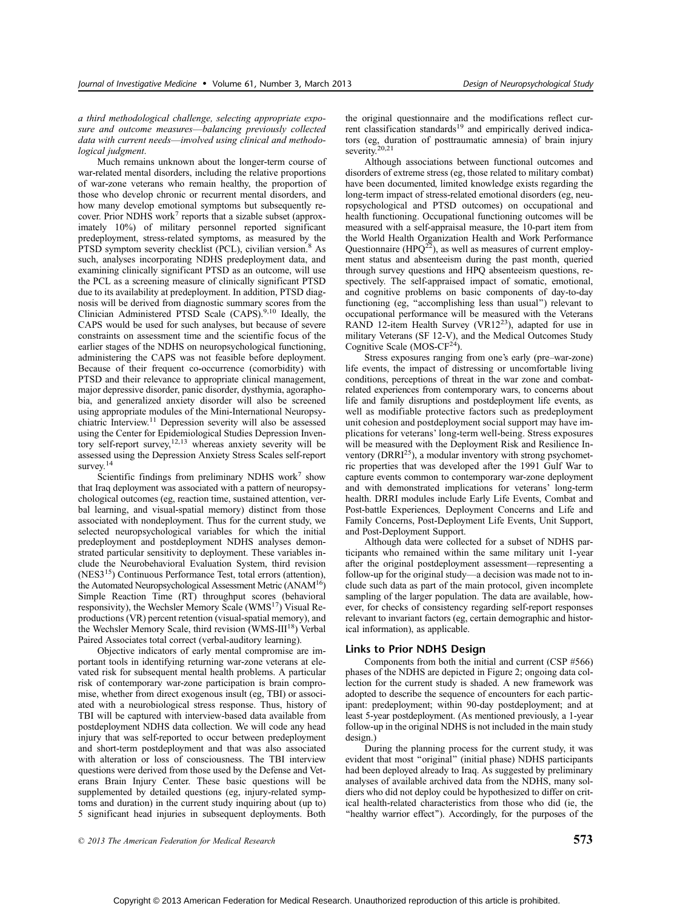## a third methodological challenge, selecting appropriate exposure and outcome measures—balancing previously collected data with current needs—involved using clinical and methodological judgment.

Much remains unknown about the longer-term course of war-related mental disorders, including the relative proportions of war-zone veterans who remain healthy, the proportion of those who develop chronic or recurrent mental disorders, and how many develop emotional symptoms but subsequently recover. Prior NDHS work<sup>7</sup> reports that a sizable subset (approximately 10%) of military personnel reported significant predeployment, stress-related symptoms, as measured by the PTSD symptom severity checklist (PCL), civilian version.<sup>8</sup> As such, analyses incorporating NDHS predeployment data, and examining clinically significant PTSD as an outcome, will use the PCL as a screening measure of clinically significant PTSD due to its availability at predeployment. In addition, PTSD diagnosis will be derived from diagnostic summary scores from the Clinician Administered PTSD Scale (CAPS).<sup>9,10</sup> Ideally, the CAPS would be used for such analyses, but because of severe constraints on assessment time and the scientific focus of the earlier stages of the NDHS on neuropsychological functioning, administering the CAPS was not feasible before deployment. Because of their frequent co-occurrence (comorbidity) with PTSD and their relevance to appropriate clinical management, major depressive disorder, panic disorder, dysthymia, agoraphobia, and generalized anxiety disorder will also be screened using appropriate modules of the Mini-International Neuropsychiatric Interview.11 Depression severity will also be assessed using the Center for Epidemiological Studies Depression Inventory self-report survey,12,13 whereas anxiety severity will be assessed using the Depression Anxiety Stress Scales self-report survey.<sup>14</sup>

Scientific findings from preliminary NDHS work<sup>7</sup> show that Iraq deployment was associated with a pattern of neuropsychological outcomes (eg, reaction time, sustained attention, verbal learning, and visual-spatial memory) distinct from those associated with nondeployment. Thus for the current study, we selected neuropsychological variables for which the initial predeployment and postdeployment NDHS analyses demonstrated particular sensitivity to deployment. These variables include the Neurobehavioral Evaluation System, third revision (NES315) Continuous Performance Test, total errors (attention), the Automated Neuropsychological Assessment Metric (ANAM16) Simple Reaction Time (RT) throughput scores (behavioral responsivity), the Wechsler Memory Scale (WMS<sup>17</sup>) Visual Reproductions (VR) percent retention (visual-spatial memory), and the Wechsler Memory Scale, third revision (WMS-III<sup>18</sup>) Verbal Paired Associates total correct (verbal-auditory learning).

Objective indicators of early mental compromise are important tools in identifying returning war-zone veterans at elevated risk for subsequent mental health problems. A particular risk of contemporary war-zone participation is brain compromise, whether from direct exogenous insult (eg, TBI) or associated with a neurobiological stress response. Thus, history of TBI will be captured with interview-based data available from postdeployment NDHS data collection. We will code any head injury that was self-reported to occur between predeployment and short-term postdeployment and that was also associated with alteration or loss of consciousness. The TBI interview questions were derived from those used by the Defense and Veterans Brain Injury Center. These basic questions will be supplemented by detailed questions (eg, injury-related symptoms and duration) in the current study inquiring about (up to) 5 significant head injuries in subsequent deployments. Both the original questionnaire and the modifications reflect current classification standards<sup>19</sup> and empirically derived indicators (eg, duration of posttraumatic amnesia) of brain injury severity.<sup>20,21</sup>

Although associations between functional outcomes and disorders of extreme stress (eg, those related to military combat) have been documented, limited knowledge exists regarding the long-term impact of stress-related emotional disorders (eg, neuropsychological and PTSD outcomes) on occupational and health functioning. Occupational functioning outcomes will be measured with a self-appraisal measure, the 10-part item from the World Health Organization Health and Work Performance Questionnaire (HPQ $^{22}$ ), as well as measures of current employment status and absenteeism during the past month, queried through survey questions and HPQ absenteeism questions, respectively. The self-appraised impact of somatic, emotional, and cognitive problems on basic components of day-to-day functioning (eg, ''accomplishing less than usual'') relevant to occupational performance will be measured with the Veterans RAND 12-item Health Survey (VR12<sup>23</sup>), adapted for use in military Veterans (SF 12-V), and the Medical Outcomes Study Cognitive Scale (MOS- $CF<sup>24</sup>$ ).

Stress exposures ranging from one's early (pre-war-zone) life events, the impact of distressing or uncomfortable living conditions, perceptions of threat in the war zone and combatrelated experiences from contemporary wars, to concerns about life and family disruptions and postdeployment life events, as well as modifiable protective factors such as predeployment unit cohesion and postdeployment social support may have implications for veterans' long-term well-being. Stress exposures will be measured with the Deployment Risk and Resilience Inventory ( $DRRI^{25}$ ), a modular inventory with strong psychometric properties that was developed after the 1991 Gulf War to capture events common to contemporary war-zone deployment and with demonstrated implications for veterans' long-term health. DRRI modules include Early Life Events, Combat and Post-battle Experiences, Deployment Concerns and Life and Family Concerns, Post-Deployment Life Events, Unit Support, and Post-Deployment Support.

Although data were collected for a subset of NDHS participants who remained within the same military unit 1-year after the original postdeployment assessment—representing a follow-up for the original study—a decision was made not to include such data as part of the main protocol, given incomplete sampling of the larger population. The data are available, however, for checks of consistency regarding self-report responses relevant to invariant factors (eg, certain demographic and historical information), as applicable.

## Links to Prior NDHS Design

Components from both the initial and current (CSP #566) phases of the NDHS are depicted in Figure 2; ongoing data collection for the current study is shaded. A new framework was adopted to describe the sequence of encounters for each participant: predeployment; within 90-day postdeployment; and at least 5-year postdeployment. (As mentioned previously, a 1-year follow-up in the original NDHS is not included in the main study design.)

During the planning process for the current study, it was evident that most ''original'' (initial phase) NDHS participants had been deployed already to Iraq. As suggested by preliminary analyses of available archived data from the NDHS, many soldiers who did not deploy could be hypothesized to differ on critical health-related characteristics from those who did (ie, the "healthy warrior effect"). Accordingly, for the purposes of the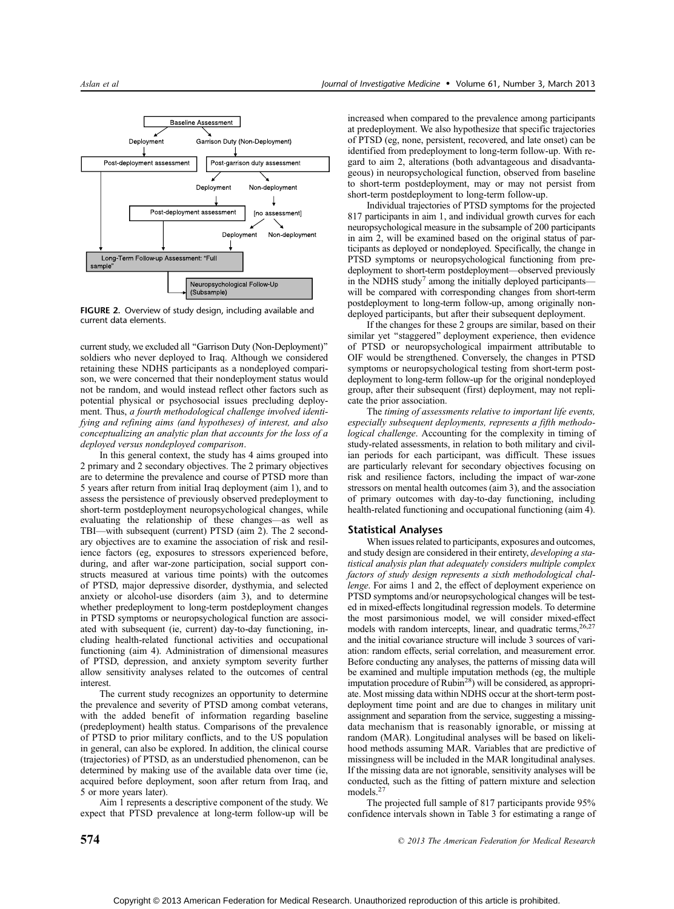

FIGURE 2. Overview of study design, including available and current data elements.

current study, we excluded all ''Garrison Duty (Non-Deployment)'' soldiers who never deployed to Iraq. Although we considered retaining these NDHS participants as a nondeployed comparison, we were concerned that their nondeployment status would not be random, and would instead reflect other factors such as potential physical or psychosocial issues precluding deployment. Thus, a fourth methodological challenge involved identifying and refining aims (and hypotheses) of interest, and also conceptualizing an analytic plan that accounts for the loss of a deployed versus nondeployed comparison.

In this general context, the study has 4 aims grouped into 2 primary and 2 secondary objectives. The 2 primary objectives are to determine the prevalence and course of PTSD more than 5 years after return from initial Iraq deployment (aim 1), and to assess the persistence of previously observed predeployment to short-term postdeployment neuropsychological changes, while evaluating the relationship of these changes-as well as TBI-with subsequent (current) PTSD (aim 2). The 2 secondary objectives are to examine the association of risk and resilience factors (eg, exposures to stressors experienced before, during, and after war-zone participation, social support constructs measured at various time points) with the outcomes of PTSD, major depressive disorder, dysthymia, and selected anxiety or alcohol-use disorders (aim 3), and to determine whether predeployment to long-term postdeployment changes in PTSD symptoms or neuropsychological function are associated with subsequent (ie, current) day-to-day functioning, including health-related functional activities and occupational functioning (aim 4). Administration of dimensional measures of PTSD, depression, and anxiety symptom severity further allow sensitivity analyses related to the outcomes of central interest.

The current study recognizes an opportunity to determine the prevalence and severity of PTSD among combat veterans, with the added benefit of information regarding baseline (predeployment) health status. Comparisons of the prevalence of PTSD to prior military conflicts, and to the US population in general, can also be explored. In addition, the clinical course (trajectories) of PTSD, as an understudied phenomenon, can be determined by making use of the available data over time (ie, acquired before deployment, soon after return from Iraq, and 5 or more years later).

Aim 1 represents a descriptive component of the study. We expect that PTSD prevalence at long-term follow-up will be increased when compared to the prevalence among participants at predeployment. We also hypothesize that specific trajectories of PTSD (eg, none, persistent, recovered, and late onset) can be identified from predeployment to long-term follow-up. With regard to aim 2, alterations (both advantageous and disadvantageous) in neuropsychological function, observed from baseline to short-term postdeployment, may or may not persist from short-term postdeployment to long-term follow-up.

Individual trajectories of PTSD symptoms for the projected 817 participants in aim 1, and individual growth curves for each neuropsychological measure in the subsample of 200 participants in aim 2, will be examined based on the original status of participants as deployed or nondeployed. Specifically, the change in PTSD symptoms or neuropsychological functioning from predeployment to short-term postdeployment—observed previously in the NDHS study<sup>7</sup> among the initially deployed participantswill be compared with corresponding changes from short-term postdeployment to long-term follow-up, among originally nondeployed participants, but after their subsequent deployment.

If the changes for these 2 groups are similar, based on their similar yet "staggered" deployment experience, then evidence of PTSD or neuropsychological impairment attributable to OIF would be strengthened. Conversely, the changes in PTSD symptoms or neuropsychological testing from short-term postdeployment to long-term follow-up for the original nondeployed group, after their subsequent (first) deployment, may not replicate the prior association.

The timing of assessments relative to important life events, especially subsequent deployments, represents a fifth methodological challenge. Accounting for the complexity in timing of study-related assessments, in relation to both military and civilian periods for each participant, was difficult. These issues are particularly relevant for secondary objectives focusing on risk and resilience factors, including the impact of war-zone stressors on mental health outcomes (aim 3), and the association of primary outcomes with day-to-day functioning, including health-related functioning and occupational functioning (aim 4).

#### Statistical Analyses

When issues related to participants, exposures and outcomes, and study design are considered in their entirety, developing a statistical analysis plan that adequately considers multiple complex factors of study design represents a sixth methodological challenge. For aims 1 and 2, the effect of deployment experience on PTSD symptoms and/or neuropsychological changes will be tested in mixed-effects longitudinal regression models. To determine the most parsimonious model, we will consider mixed-effect models with random intercepts, linear, and quadratic terms, <sup>26,27</sup> and the initial covariance structure will include 3 sources of variation: random effects, serial correlation, and measurement error. Before conducting any analyses, the patterns of missing data will be examined and multiple imputation methods (eg, the multiple imputation procedure of Rubin<sup>28</sup>) will be considered, as appropriate. Most missing data within NDHS occur at the short-term postdeployment time point and are due to changes in military unit assignment and separation from the service, suggesting a missingdata mechanism that is reasonably ignorable, or missing at random (MAR). Longitudinal analyses will be based on likelihood methods assuming MAR. Variables that are predictive of missingness will be included in the MAR longitudinal analyses. If the missing data are not ignorable, sensitivity analyses will be conducted, such as the fitting of pattern mixture and selection models.<sup>27</sup>

The projected full sample of 817 participants provide 95% confidence intervals shown in Table 3 for estimating a range of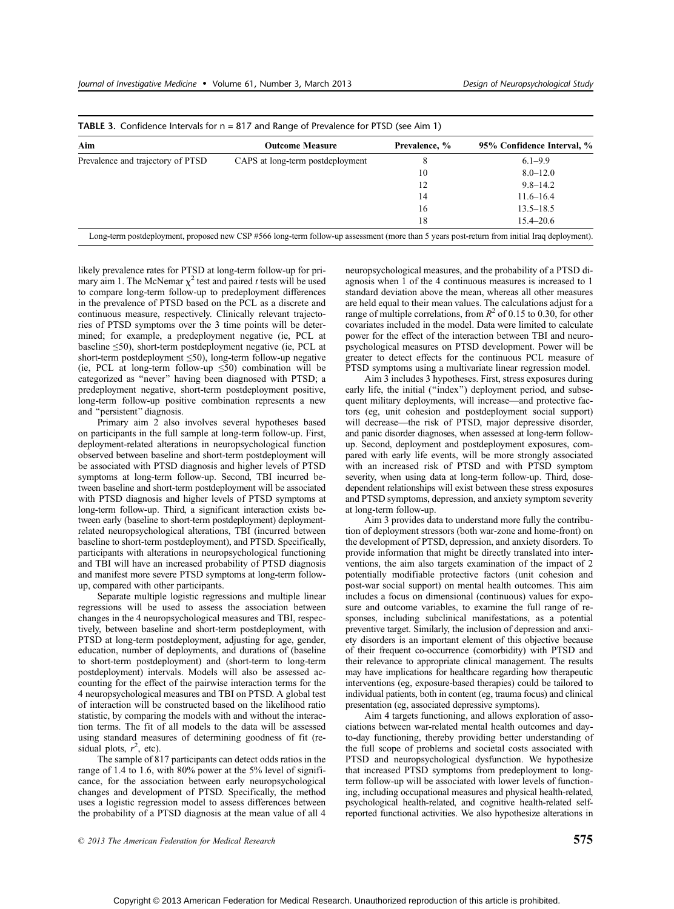| Aim                               | <b>Outcome Measure</b>           | Prevalence, % | 95% Confidence Interval, % |
|-----------------------------------|----------------------------------|---------------|----------------------------|
| Prevalence and trajectory of PTSD | CAPS at long-term postdeployment | 8             | $6.1 - 9.9$                |
|                                   |                                  | 10            | $8.0 - 12.0$               |
|                                   |                                  | 12            | $9.8 - 14.2$               |
|                                   |                                  | 14            | $11.6 - 16.4$              |
|                                   |                                  | 16            | $13.5 - 18.5$              |
|                                   |                                  | 18            | $15.4 - 20.6$              |

likely prevalence rates for PTSD at long-term follow-up for primary aim 1. The McNemar  $\chi^2$  test and paired t tests will be used to compare long-term follow-up to predeployment differences in the prevalence of PTSD based on the PCL as a discrete and continuous measure, respectively. Clinically relevant trajectories of PTSD symptoms over the 3 time points will be determined; for example, a predeployment negative (ie, PCL at baseline  $\leq$ 50), short-term postdeployment negative (ie, PCL at short-term postdeployment  $\leq 50$ , long-term follow-up negative (ie, PCL at long-term follow-up  $\leq 50$ ) combination will be categorized as ''never'' having been diagnosed with PTSD; a predeployment negative, short-term postdeployment positive, long-term follow-up positive combination represents a new and ''persistent'' diagnosis.

Primary aim 2 also involves several hypotheses based on participants in the full sample at long-term follow-up. First, deployment-related alterations in neuropsychological function observed between baseline and short-term postdeployment will be associated with PTSD diagnosis and higher levels of PTSD symptoms at long-term follow-up. Second, TBI incurred between baseline and short-term postdeployment will be associated with PTSD diagnosis and higher levels of PTSD symptoms at long-term follow-up. Third, a significant interaction exists between early (baseline to short-term postdeployment) deploymentrelated neuropsychological alterations, TBI (incurred between baseline to short-term postdeployment), and PTSD. Specifically, participants with alterations in neuropsychological functioning and TBI will have an increased probability of PTSD diagnosis and manifest more severe PTSD symptoms at long-term followup, compared with other participants.

Separate multiple logistic regressions and multiple linear regressions will be used to assess the association between changes in the 4 neuropsychological measures and TBI, respectively, between baseline and short-term postdeployment, with PTSD at long-term postdeployment, adjusting for age, gender, education, number of deployments, and durations of (baseline to short-term postdeployment) and (short-term to long-term postdeployment) intervals. Models will also be assessed accounting for the effect of the pairwise interaction terms for the 4 neuropsychological measures and TBI on PTSD. A global test of interaction will be constructed based on the likelihood ratio statistic, by comparing the models with and without the interaction terms. The fit of all models to the data will be assessed using standard measures of determining goodness of fit (residual plots,  $r^2$ , etc).

The sample of 817 participants can detect odds ratios in the range of 1.4 to 1.6, with 80% power at the 5% level of significance, for the association between early neuropsychological changes and development of PTSD. Specifically, the method uses a logistic regression model to assess differences between the probability of a PTSD diagnosis at the mean value of all 4 neuropsychological measures, and the probability of a PTSD diagnosis when 1 of the 4 continuous measures is increased to 1 standard deviation above the mean, whereas all other measures are held equal to their mean values. The calculations adjust for a range of multiple correlations, from  $R^2$  of 0.15 to 0.30, for other covariates included in the model. Data were limited to calculate power for the effect of the interaction between TBI and neuropsychological measures on PTSD development. Power will be greater to detect effects for the continuous PCL measure of PTSD symptoms using a multivariate linear regression model.

Aim 3 includes 3 hypotheses. First, stress exposures during early life, the initial ("index") deployment period, and subsequent military deployments, will increase—and protective factors (eg, unit cohesion and postdeployment social support) will decrease—the risk of PTSD, major depressive disorder, and panic disorder diagnoses, when assessed at long-term followup. Second, deployment and postdeployment exposures, compared with early life events, will be more strongly associated with an increased risk of PTSD and with PTSD symptom severity, when using data at long-term follow-up. Third, dosedependent relationships will exist between these stress exposures and PTSD symptoms, depression, and anxiety symptom severity at long-term follow-up.

Aim 3 provides data to understand more fully the contribution of deployment stressors (both war-zone and home-front) on the development of PTSD, depression, and anxiety disorders. To provide information that might be directly translated into interventions, the aim also targets examination of the impact of 2 potentially modifiable protective factors (unit cohesion and post-war social support) on mental health outcomes. This aim includes a focus on dimensional (continuous) values for exposure and outcome variables, to examine the full range of responses, including subclinical manifestations, as a potential preventive target. Similarly, the inclusion of depression and anxiety disorders is an important element of this objective because of their frequent co-occurrence (comorbidity) with PTSD and their relevance to appropriate clinical management. The results may have implications for healthcare regarding how therapeutic interventions (eg, exposure-based therapies) could be tailored to individual patients, both in content (eg, trauma focus) and clinical presentation (eg, associated depressive symptoms).

Aim 4 targets functioning, and allows exploration of associations between war-related mental health outcomes and dayto-day functioning, thereby providing better understanding of the full scope of problems and societal costs associated with PTSD and neuropsychological dysfunction. We hypothesize that increased PTSD symptoms from predeployment to longterm follow-up will be associated with lower levels of functioning, including occupational measures and physical health-related, psychological health-related, and cognitive health-related selfreported functional activities. We also hypothesize alterations in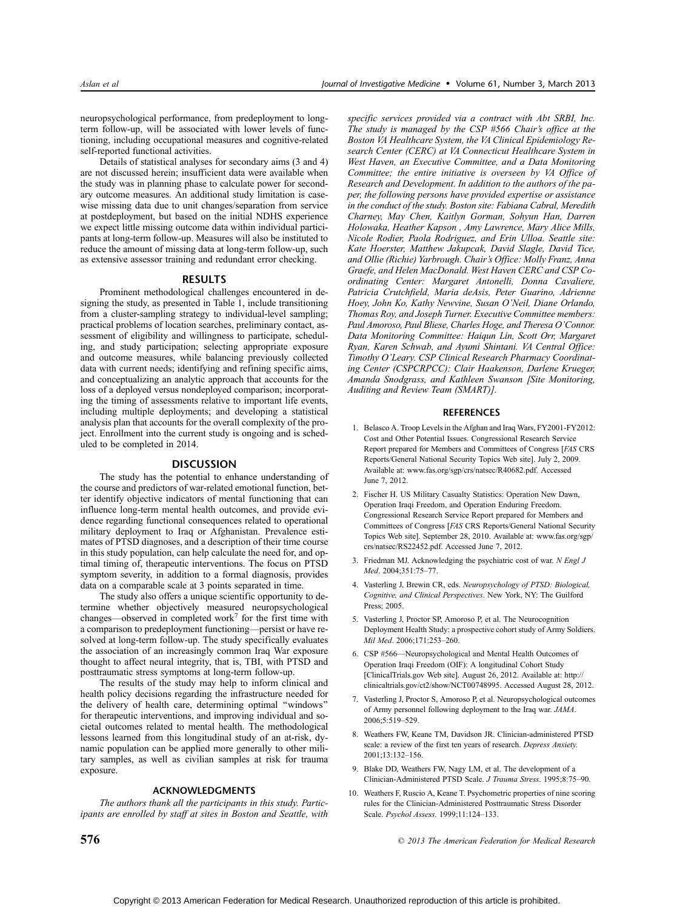neuropsychological performance, from predeployment to longterm follow-up, will be associated with lower levels of functioning, including occupational measures and cognitive-related self-reported functional activities.

Details of statistical analyses for secondary aims (3 and 4) are not discussed herein; insufficient data were available when the study was in planning phase to calculate power for secondary outcome measures. An additional study limitation is casewise missing data due to unit changes/separation from service at postdeployment, but based on the initial NDHS experience we expect little missing outcome data within individual participants at long-term follow-up. Measures will also be instituted to reduce the amount of missing data at long-term follow-up, such as extensive assessor training and redundant error checking.

#### RESULTS

Prominent methodological challenges encountered in designing the study, as presented in Table 1, include transitioning from a cluster-sampling strategy to individual-level sampling; practical problems of location searches, preliminary contact, assessment of eligibility and willingness to participate, scheduling, and study participation; selecting appropriate exposure and outcome measures, while balancing previously collected data with current needs; identifying and refining specific aims, and conceptualizing an analytic approach that accounts for the loss of a deployed versus nondeployed comparison; incorporating the timing of assessments relative to important life events, including multiple deployments; and developing a statistical analysis plan that accounts for the overall complexity of the project. Enrollment into the current study is ongoing and is scheduled to be completed in 2014.

## DISCUSSION

The study has the potential to enhance understanding of the course and predictors of war-related emotional function, better identify objective indicators of mental functioning that can influence long-term mental health outcomes, and provide evidence regarding functional consequences related to operational military deployment to Iraq or Afghanistan. Prevalence estimates of PTSD diagnoses, and a description of their time course in this study population, can help calculate the need for, and optimal timing of, therapeutic interventions. The focus on PTSD symptom severity, in addition to a formal diagnosis, provides data on a comparable scale at 3 points separated in time.

The study also offers a unique scientific opportunity to determine whether objectively measured neuropsychological changes—observed in completed work<sup>7</sup> for the first time with a comparison to predeployment functioning—persist or have resolved at long-term follow-up. The study specifically evaluates the association of an increasingly common Iraq War exposure thought to affect neural integrity, that is, TBI, with PTSD and posttraumatic stress symptoms at long-term follow-up.

The results of the study may help to inform clinical and health policy decisions regarding the infrastructure needed for the delivery of health care, determining optimal ''windows'' for therapeutic interventions, and improving individual and societal outcomes related to mental health. The methodological lessons learned from this longitudinal study of an at-risk, dynamic population can be applied more generally to other military samples, as well as civilian samples at risk for trauma exposure.

# ACKNOWLEDGMENTS

The authors thank all the participants in this study. Participants are enrolled by staff at sites in Boston and Seattle, with

specific services provided via a contract with Abt SRBI, Inc. The study is managed by the CSP #566 Chair's office at the Boston VA Healthcare System, the VA Clinical Epidemiology Research Center (CERC) at VA Connecticut Healthcare System in West Haven, an Executive Committee, and a Data Monitoring Committee; the entire initiative is overseen by VA Office of Research and Development. In addition to the authors of the paper, the following persons have provided expertise or assistance in the conduct of the study. Boston site: Fabiana Cabral, Meredith Charney, May Chen, Kaitlyn Gorman, Sohyun Han, Darren Holowaka, Heather Kapson , Amy Lawrence, Mary Alice Mills, Nicole Rodier, Paola Rodriguez, and Erin Ulloa. Seattle site: Kate Hoerster, Matthew Jakupcak, David Slagle, David Tice, and Ollie (Richie) Yarbrough. Chair's Office: Molly Franz, Anna Graefe, and Helen MacDonald. West Haven CERC and CSP Coordinating Center: Margaret Antonelli, Donna Cavaliere, Patricia Crutchfield, Maria deAsis, Peter Guarino, Adrienne Hoey, John Ko, Kathy Newvine, Susan O'Neil, Diane Orlando, Thomas Roy, and Joseph Turner. Executive Committee members: Paul Amoroso, Paul Bliese, Charles Hoge, and Theresa O'Connor. Data Monitoring Committee: Haiqun Lin, Scott Orr, Margaret Ryan, Karen Schwab, and Ayumi Shintani. VA Central Office: Timothy O'Leary. CSP Clinical Research Pharmacy Coordinating Center (CSPCRPCC): Clair Haakenson, Darlene Krueger, Amanda Snodgrass, and Kathleen Swanson [Site Monitoring, Auditing and Review Team (SMART)].

### **REFERENCES**

- 1. Belasco A. Troop Levels in the Afghan and Iraq Wars, FY2001-FY2012: Cost and Other Potential Issues. Congressional Research Service Report prepared for Members and Committees of Congress [FAS CRS Reports/General National Security Topics Web site]. July 2, 2009. Available at: www.fas.org/sgp/crs/natsec/R40682.pdf. Accessed June 7, 2[012.](www.fas.org/sgp/crs/natsec/R40682.pdf)
- 2. Fischer H. US Military Casualty Statistics: Operation New Dawn, Operation Iraqi Freedom, and Operation Enduring Freedom. Congressional Research Service Report prepared for Members and Committees of Congress [FAS CRS Reports/General National Security Topics Web site]. September 28, 2010. Available at: www.fas.org/sgp/ crs/natsec/RS22452.pdf. Accessed June 7, 2012.
- [3. Friedman MJ. Ackno](http:///www.fas.org/sgp/crs/natsec/RS22452.pdf)wledging the psychiatric cost of war. N Engl J Med. 2004:351:75-77.
- 4. Vasterling J, Brewin CR, eds. Neuropsychology of PTSD: Biological, Cognitive, and Clinical Perspectives. New York, NY: The Guilford Press; 2005.
- 5. Vasterling J, Proctor SP, Amoroso P, et al. The Neurocognition Deployment Health Study: a prospective cohort study of Army Soldiers. Mil Med. 2006;171:253-260.
- 6. CSP #566-Neuropsychological and Mental Health Outcomes of Operation Iraqi Freedom (OIF): A longitudinal Cohort Study [ClinicalTrials.gov Web site]. August 26, 2012. Available at: http:// clinicaltrials.gov/ct2/show/NCT00748995. Accessed Aug[ust 28,](mailto:http://clinicaltrials.gov/ct2/show/NCT00748995) 2012.
- [7. Vasterling J, Proctor S, Amoroso P, et a](mailto:http://clinicaltrials.gov/ct2/show/NCT00748995)l. Neuropsychological outcomes of Army personnel following deployment to the Iraq war. JAMA. 2006:5:519-529
- 8. Weathers FW, Keane TM, Davidson JR. Clinician-administered PTSD scale: a review of the first ten years of research. Depress Anxiety. 2001;13:132-156.
- 9. Blake DD, Weathers FW, Nagy LM, et al. The development of a Clinician-Administered PTSD Scale. J Trauma Stress. 1995:8:75-90.
- 10. Weathers F, Ruscio A, Keane T. Psychometric properties of nine scoring rules for the Clinician-Administered Posttraumatic Stress Disorder Scale. Psychol Assess. 1999;11:124-133.